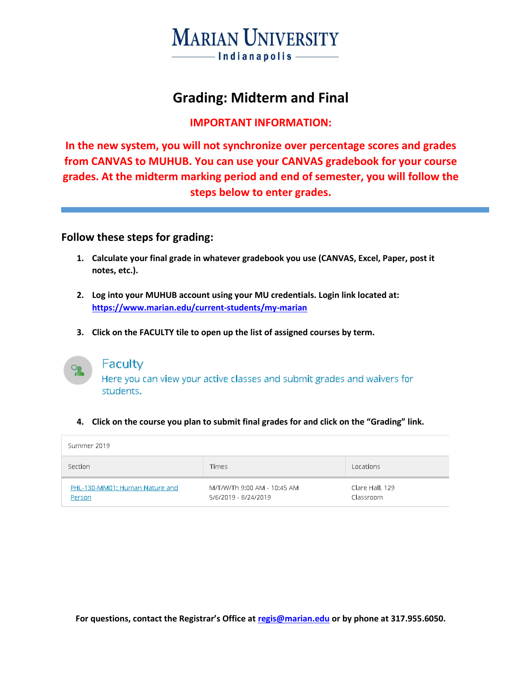# **MARIAN UNIVERSITY** Indianapolis-

## **Grading: Midterm and Final**

### **IMPORTANT INFORMATION:**

**In the new system, you will not synchronize over percentage scores and grades from CANVAS to MUHUB. You can use your CANVAS gradebook for your course grades. At the midterm marking period and end of semester, you will follow the steps below to enter grades.**

### **Follow these steps for grading:**

- **1. Calculate your final grade in whatever gradebook you use (CANVAS, Excel, Paper, post it notes, etc.).**
- **2. Log into your MUHUB account using your MU credentials. Login link located at: <https://www.marian.edu/current-students/my-marian>**
- **3. Click on the FACULTY tile to open up the list of assigned courses by term.**



## Faculty

Here you can view your active classes and submit grades and waivers for students.

#### **4. Click on the course you plan to submit final grades for and click on the "Grading" link.**

| Summer 2019                              |                                                     |                              |
|------------------------------------------|-----------------------------------------------------|------------------------------|
| Section                                  | <b>Times</b>                                        | Locations                    |
| PHL-130-MM01: Human Nature and<br>Person | M/T/W/Th 9:00 AM - 10:45 AM<br>5/6/2019 - 8/24/2019 | Clare Hall, 129<br>Classroom |

**For questions, contact the Registrar's Office at [regis@marian.edu](mailto:regis@marian.edu) or by phone at 317.955.6050.**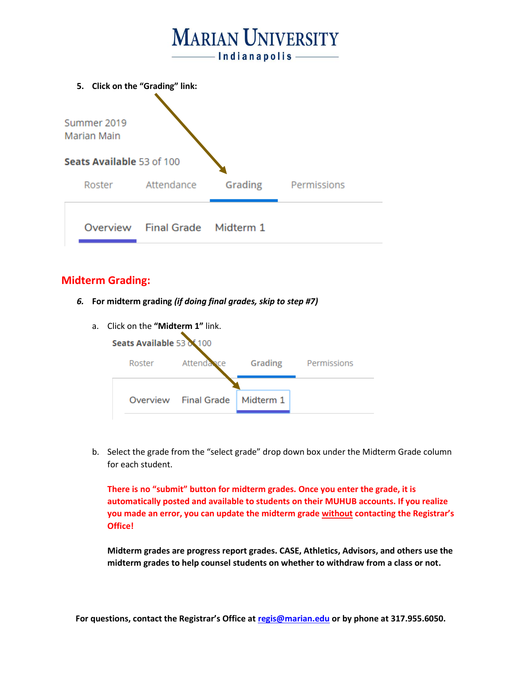

### **Midterm Grading:**

*6.* **For midterm grading** *(if doing final grades, skip to step #7)*

| a. Click on the " <b>Midterm 1"</b> link.<br>Seats Available 53 of 100 |                                  |  |                     |  |
|------------------------------------------------------------------------|----------------------------------|--|---------------------|--|
| Roster                                                                 | Attendance                       |  | Grading Permissions |  |
|                                                                        | Overview Final Grade   Midterm 1 |  |                     |  |

b. Select the grade from the "select grade" drop down box under the Midterm Grade column for each student.

**There is no "submit" button for midterm grades. Once you enter the grade, it is automatically posted and available to students on their MUHUB accounts. If you realize you made an error, you can update the midterm grade without contacting the Registrar's Office!**

**Midterm grades are progress report grades. CASE, Athletics, Advisors, and others use the midterm grades to help counsel students on whether to withdraw from a class or not.**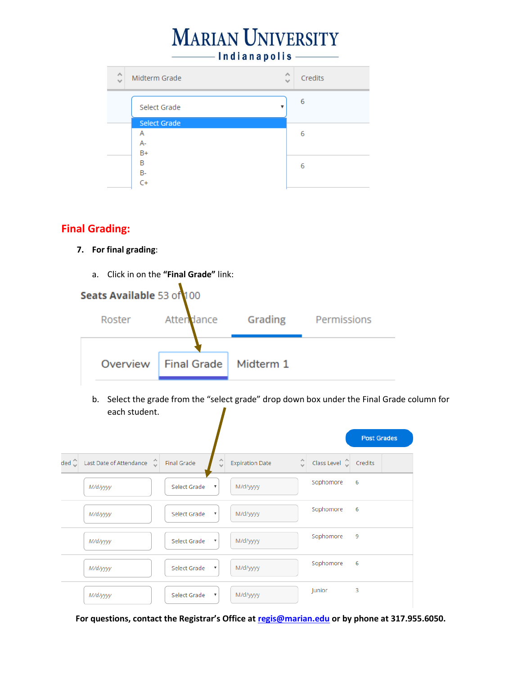# **MARIAN UNIVERSITY** Indianapolis

| $\scriptstyle\wedge$<br>Midterm Grade<br>$\checkmark$ | $\curvearrowright$<br>Credits<br>$\mathcal{A}$ |
|-------------------------------------------------------|------------------------------------------------|
| Select Grade                                          | 6                                              |
| <b>Select Grade</b><br>Α<br>A-                        | 6                                              |
| $B+$<br>B<br><b>B-</b>                                | 6                                              |
| C+                                                    |                                                |

## **Final Grading:**

### **7. For final grading**:

- a. Click in on the **"Final Grade"** link: Seats Available 53 of 100 Grading Permissions Roster Attendance Overview **Final Grade** Midterm 1
	- b. Select the grade from the "select grade" drop down box under the Final Grade column for each student.  $\mathbf{I}$

|                        |                             |                    |                           |                        |                     |                                | <b>Post Grades</b> |
|------------------------|-----------------------------|--------------------|---------------------------|------------------------|---------------------|--------------------------------|--------------------|
| ded $\hat{\mathbb{C}}$ | Last Date of Attendance (2) | <b>Final Grade</b> |                           | <b>Expiration Date</b> | $\hat{\mathcal{L}}$ | Class Level $\hat{\mathbb{C}}$ | Credits            |
|                        | M/d/yyyy                    | Select Grade       | $\boldsymbol{\mathrm{v}}$ | M/d/yyyy               |                     | Sophomore                      | 6                  |
|                        | M/d/yyyy                    | Select Grade       | $\;$ $\;$                 | M/d/yyyy               |                     | Sophomore                      | 6                  |
|                        | M/d/yyyy                    | Select Grade       | $\boldsymbol{\mathrm{v}}$ | M/d/yyyy               |                     | Sophomore                      | 9                  |
|                        | M/d/yyyy                    | Select Grade       | $\;$ $\;$                 | M/d/yyyy               |                     | Sophomore                      | 6                  |
|                        | M/d/yyyy                    | Select Grade       | $\boldsymbol{\mathrm{v}}$ | M/d/yyyy               |                     | Junior                         | 3                  |

**For questions, contact the Registrar's Office at [regis@marian.edu](mailto:regis@marian.edu) or by phone at 317.955.6050.**